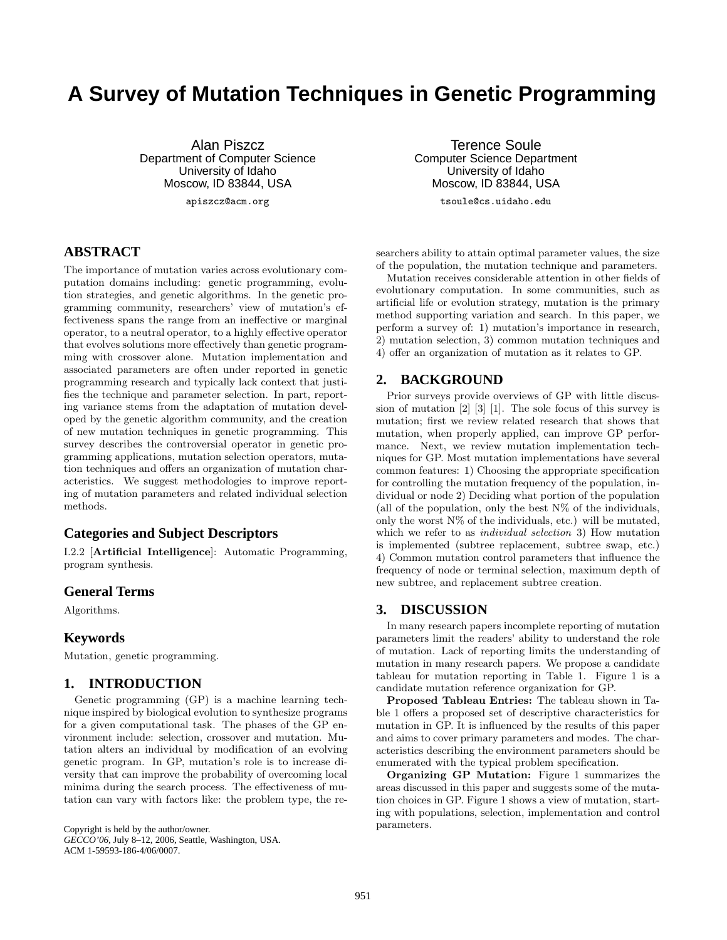# **A Survey of Mutation Techniques in Genetic Programming**

Alan Piszcz Department of Computer Science University of Idaho Moscow, ID 83844, USA

apiszcz@acm.org

## **ABSTRACT**

The importance of mutation varies across evolutionary computation domains including: genetic programming, evolution strategies, and genetic algorithms. In the genetic programming community, researchers' view of mutation's effectiveness spans the range from an ineffective or marginal operator, to a neutral operator, to a highly effective operator that evolves solutions more effectively than genetic programming with crossover alone. Mutation implementation and associated parameters are often under reported in genetic programming research and typically lack context that justifies the technique and parameter selection. In part, reporting variance stems from the adaptation of mutation developed by the genetic algorithm community, and the creation of new mutation techniques in genetic programming. This survey describes the controversial operator in genetic programming applications, mutation selection operators, mutation techniques and offers an organization of mutation characteristics. We suggest methodologies to improve reporting of mutation parameters and related individual selection methods.

#### **Categories and Subject Descriptors**

I.2.2 [**Artificial Intelligence**]: Automatic Programming, program synthesis.

#### **General Terms**

Algorithms.

#### **Keywords**

Mutation, genetic programming.

#### **1. INTRODUCTION**

Genetic programming (GP) is a machine learning technique inspired by biological evolution to synthesize programs for a given computational task. The phases of the GP environment include: selection, crossover and mutation. Mutation alters an individual by modification of an evolving genetic program. In GP, mutation's role is to increase diversity that can improve the probability of overcoming local minima during the search process. The effectiveness of mutation can vary with factors like: the problem type, the re-

Copyright is held by the author/owner. *GECCO'06,* July 8–12, 2006, Seattle, Washington, USA. ACM 1-59593-186-4/06/0007.

Terence Soule Computer Science Department University of Idaho Moscow, ID 83844, USA tsoule@cs.uidaho.edu

searchers ability to attain optimal parameter values, the size of the population, the mutation technique and parameters.

Mutation receives considerable attention in other fields of evolutionary computation. In some communities, such as artificial life or evolution strategy, mutation is the primary method supporting variation and search. In this paper, we perform a survey of: 1) mutation's importance in research, 2) mutation selection, 3) common mutation techniques and 4) offer an organization of mutation as it relates to GP.

#### **2. BACKGROUND**

Prior surveys provide overviews of GP with little discussion of mutation [2] [3] [1]. The sole focus of this survey is mutation; first we review related research that shows that mutation, when properly applied, can improve GP performance. Next, we review mutation implementation techniques for GP. Most mutation implementations have several common features: 1) Choosing the appropriate specification for controlling the mutation frequency of the population, individual or node 2) Deciding what portion of the population (all of the population, only the best  $N\%$  of the individuals, only the worst  $N\%$  of the individuals, etc.) will be mutated, which we refer to as *individual selection* 3) How mutation is implemented (subtree replacement, subtree swap, etc.) 4) Common mutation control parameters that influence the frequency of node or terminal selection, maximum depth of new subtree, and replacement subtree creation.

#### **3. DISCUSSION**

In many research papers incomplete reporting of mutation parameters limit the readers' ability to understand the role of mutation. Lack of reporting limits the understanding of mutation in many research papers. We propose a candidate tableau for mutation reporting in Table 1. Figure 1 is a candidate mutation reference organization for GP.

**Proposed Tableau Entries:** The tableau shown in Table 1 offers a proposed set of descriptive characteristics for mutation in GP. It is influenced by the results of this paper and aims to cover primary parameters and modes. The characteristics describing the environment parameters should be enumerated with the typical problem specification.

**Organizing GP Mutation:** Figure 1 summarizes the areas discussed in this paper and suggests some of the mutation choices in GP. Figure 1 shows a view of mutation, starting with populations, selection, implementation and control parameters.